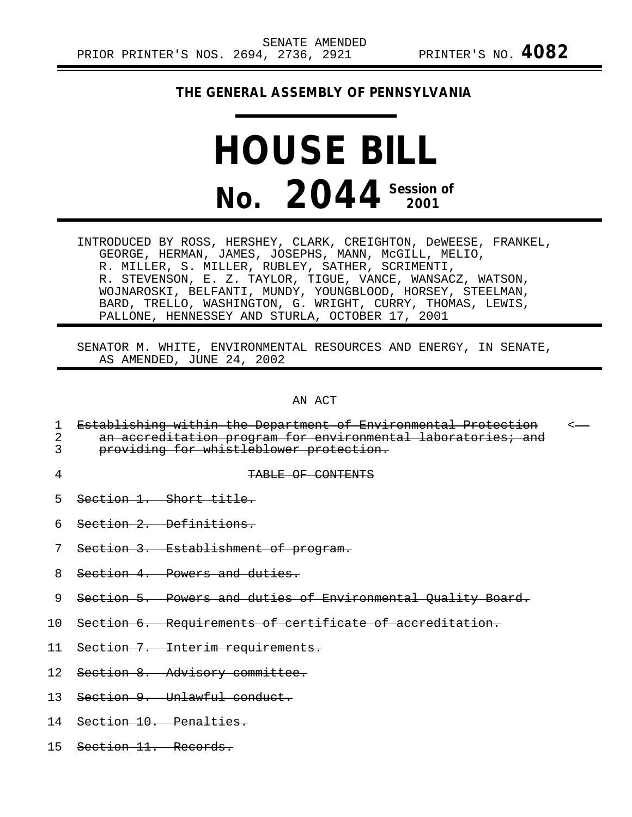## **THE GENERAL ASSEMBLY OF PENNSYLVANIA**

## **HOUSE BILL No. 2044 Session of 2001**

INTRODUCED BY ROSS, HERSHEY, CLARK, CREIGHTON, DeWEESE, FRANKEL, GEORGE, HERMAN, JAMES, JOSEPHS, MANN, McGILL, MELIO, R. MILLER, S. MILLER, RUBLEY, SATHER, SCRIMENTI, R. STEVENSON, E. Z. TAYLOR, TIGUE, VANCE, WANSACZ, WATSON, WOJNAROSKI, BELFANTI, MUNDY, YOUNGBLOOD, HORSEY, STEELMAN, BARD, TRELLO, WASHINGTON, G. WRIGHT, CURRY, THOMAS, LEWIS, PALLONE, HENNESSEY AND STURLA, OCTOBER 17, 2001

SENATOR M. WHITE, ENVIRONMENTAL RESOURCES AND ENERGY, IN SENATE, AS AMENDED, JUNE 24, 2002

AN ACT

|    | Establishing within the Department of Environmental Protection<br>an accreditation program for environmental laboratories; and<br>providing for whistleblower protection. | $\leftarrow$ |
|----|---------------------------------------------------------------------------------------------------------------------------------------------------------------------------|--------------|
| 4  | TABLE OF CONTENTS                                                                                                                                                         |              |
| 5  | Section 1. Short title.                                                                                                                                                   |              |
| 6  | Section 2. Definitions.                                                                                                                                                   |              |
|    | Section 3. Establishment of program.                                                                                                                                      |              |
| 8  | Section 4. Powers and duties.                                                                                                                                             |              |
| 9  | Section 5. Powers and duties of Environmental Quality Board.                                                                                                              |              |
|    | 10 Section 6. Requirements of certificate of accreditation.                                                                                                               |              |
|    | 11 Section 7. Interim requirements.                                                                                                                                       |              |
|    | 12 Section 8. Advisory committee.                                                                                                                                         |              |
| 13 | Section 9. Unlawful conduct.                                                                                                                                              |              |

- 14 Section 10. Penalties.
- 15 Section 11. Records.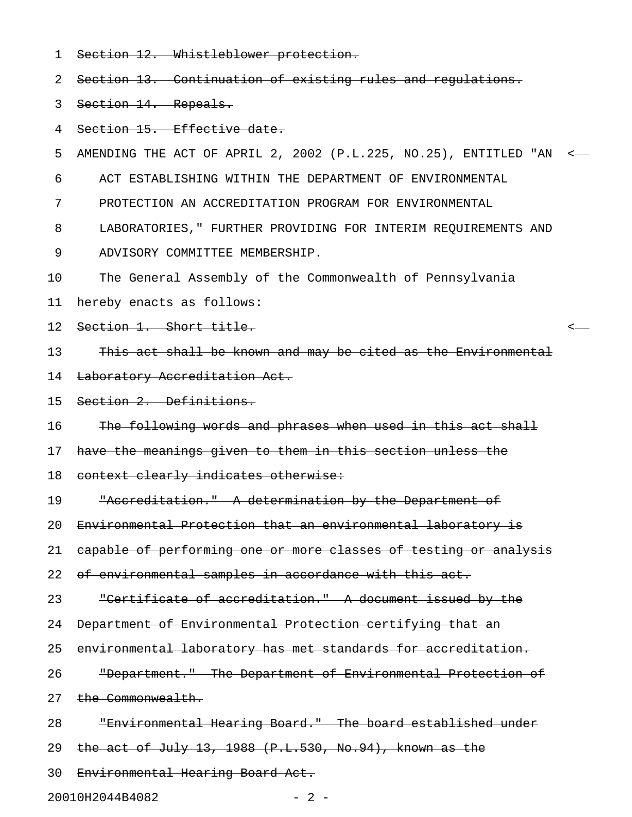1 Section 12. Whistleblower protection.

2 Section 13. Continuation of existing rules and regulations.

3 Section 14. Repeals.

4 Section 15. Effective date.

5 AMENDING THE ACT OF APRIL 2, 2002 (P.L.225, NO.25), ENTITLED "AN <

6 ACT ESTABLISHING WITHIN THE DEPARTMENT OF ENVIRONMENTAL

7 PROTECTION AN ACCREDITATION PROGRAM FOR ENVIRONMENTAL

8 LABORATORIES," FURTHER PROVIDING FOR INTERIM REQUIREMENTS AND

9 ADVISORY COMMITTEE MEMBERSHIP.

10 The General Assembly of the Commonwealth of Pennsylvania

11 hereby enacts as follows:

12 Section 1. Short title.

13 This act shall be known and may be cited as the Environmental

14 Laboratory Accreditation Act.

15 Section 2. Definitions.

16 The following words and phrases when used in this act shall

17 have the meanings given to them in this section unless the

18 context clearly indicates otherwise:

19 "Accreditation." A determination by the Department of

20 Environmental Protection that an environmental laboratory is

21 capable of performing one or more classes of testing or analysis

22 of environmental samples in accordance with this act.

23 "Certificate of accreditation." A document issued by the

24 Department of Environmental Protection certifying that an

25 environmental laboratory has met standards for accreditation.

26 **The Pepartment."** The Department of Environmental Protection of

27 the Commonwealth.

28 "Environmental Hearing Board." The board established under

29 the act of July 13, 1988 (P.L.530, No.94), known as the

30 Environmental Hearing Board Act.

20010H2044B4082 - 2 -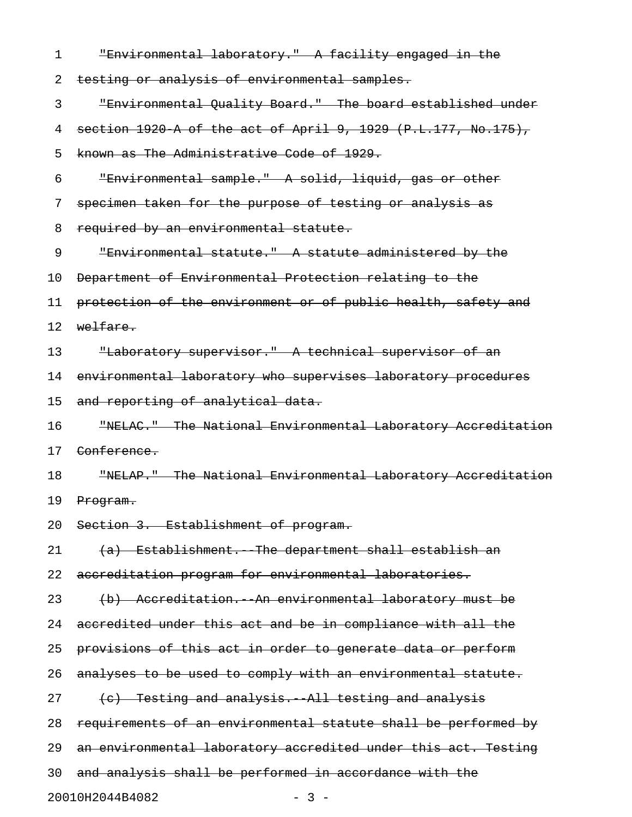| 1  | "Environmental laboratory." A facility engaged in the          |
|----|----------------------------------------------------------------|
| 2  | testing or analysis of environmental samples.                  |
| 3  | "Environmental Quality Board." The board established under     |
| 4  | section 1920 A of the act of April 9, 1929 (P.L.177, No.175),  |
| 5  | known as The Administrative Code of 1929.                      |
| 6  | "Environmental sample." A solid, liquid, gas or other          |
| 7  | specimen taken for the purpose of testing or analysis as       |
| 8  | required by an environmental statute.                          |
| 9  | "Environmental statute." A statute administered by the         |
| 10 | Department of Environmental Protection relating to the         |
| 11 | protection of the environment or of public health, safety and  |
| 12 | welfare.                                                       |
| 13 | "Laboratory supervisor." A technical supervisor of an          |
| 14 | environmental laboratory who supervises laboratory procedures  |
| 15 | and reporting of analytical data.                              |
| 16 | "NELAC." The National Environmental Laboratory Accreditation   |
| 17 | Conference.                                                    |
| 18 | "NELAP." The National Environmental Laboratory Accreditation   |
| 19 | Program.                                                       |
| 20 | Section 3. Establishment of program.                           |
| 21 | (a) Establishment. The department shall establish an           |
| 22 | accreditation program for environmental laboratories.          |
| 23 | (b) Accreditation. An environmental laboratory must be         |
| 24 | accredited under this act and be in compliance with all the    |
| 25 | provisions of this act in order to generate data or perform    |
| 26 | analyses to be used to comply with an environmental statute.   |
| 27 | (e) Testing and analysis. All testing and analysis             |
| 28 | requirements of an environmental statute shall be performed by |
| 29 | an environmental laboratory accredited under this act. Testing |
| 30 | and analysis shall be performed in accordance with the         |

20010H2044B4082 - 3 -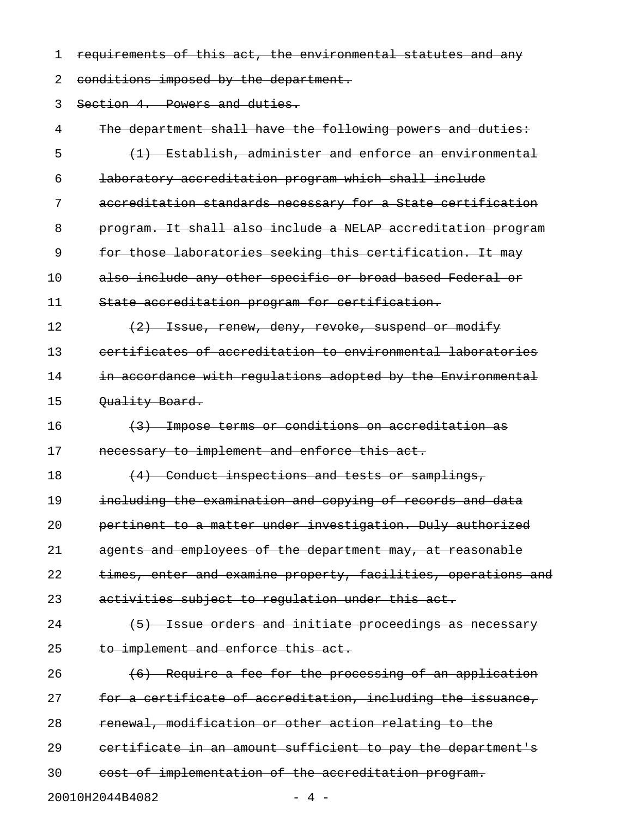1 requirements of this act, the environmental statutes and any

2 conditions imposed by the department.

3 Section 4. Powers and duties.

4 The department shall have the following powers and duties: 5 (1) Establish, administer and enforce an environmental 6 laboratory accreditation program which shall include 7 accreditation standards necessary for a State certification 8 program. It shall also include a NELAP accreditation program 9 for those laboratories seeking this certification. It may 10 also include any other specific or broad-based Federal or 11 State accreditation program for certification. 12  $(2)$  Issue, renew, deny, revoke, suspend or modify 13 certificates of accreditation to environmental laboratories 14 in accordance with requlations adopted by the Environmental 15 Ouality Board. 16 (3) Impose terms or conditions on accreditation as 17 mecessary to implement and enforce this act. 18 (4) Conduct inspections and tests or samplings, 19 including the examination and copying of records and data 20 pertinent to a matter under investigation. Duly authorized 21 agents and employees of the department may, at reasonable 22 times, enter and examine property, facilities, operations and 23 activities subject to regulation under this act. 24 (5) Issue orders and initiate proceedings as necessary 25 to implement and enforce this act. 26 (6) Require a fee for the processing of an application 27 for a certificate of accreditation, including the issuance, 28 renewal, modification or other action relating to the 29 certificate in an amount sufficient to pay the department's 30 cost of implementation of the accreditation program. 20010H2044B4082 - 4 -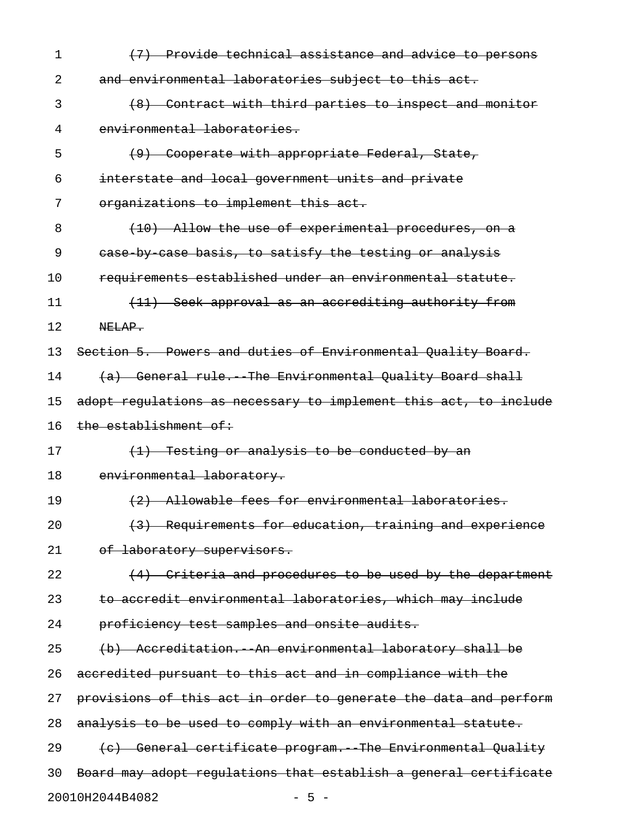| 1  | (7) Provide technical assistance and advice to persons           |
|----|------------------------------------------------------------------|
| 2  | and environmental laboratories subject to this act.              |
| 3  | (8) Contract with third parties to inspect and monitor           |
| 4  | environmental laboratories.                                      |
| 5  | (9) Cooperate with appropriate Federal, State,                   |
| 6  | interstate and local government units and private                |
| 7  | organizations to implement this act.                             |
| 8  | (10) Allow the use of experimental procedures, on a              |
| 9  | ease by case basis, to satisfy the testing or analysis           |
| 10 | requirements established under an environmental statute.         |
| 11 | (11) Seek approval as an accrediting authority from              |
| 12 | NELAP.                                                           |
| 13 | Section 5. Powers and duties of Environmental Quality Board.     |
| 14 | (a) General rule. The Environmental Quality Board shall          |
| 15 | adopt regulations as necessary to implement this act, to include |
| 16 | the establishment of:                                            |
| 17 | (1) Testing or analysis to be conducted by an                    |
| 18 | environmental laboratory.                                        |
| 19 | (2) Allowable fees for environmental laboratories.               |
| 20 | (3) Requirements for education, training and experience          |
| 21 | of laboratory supervisors.                                       |
| 22 | (4) Criteria and procedures to be used by the department         |
| 23 | to accredit environmental laboratories, which may include        |
| 24 | proficiency test samples and onsite audits.                      |
| 25 | (b) Accreditation. An environmental laboratory shall be          |
| 26 | accredited pursuant to this act and in compliance with the       |
| 27 | provisions of this act in order to generate the data and perform |
| 28 | analysis to be used to comply with an environmental statute.     |
| 29 | (c) General certificate program. The Environmental Quality       |
| 30 | Board may adopt regulations that establish a general certificate |
|    | 20010H2044B4082<br>$-5 -$                                        |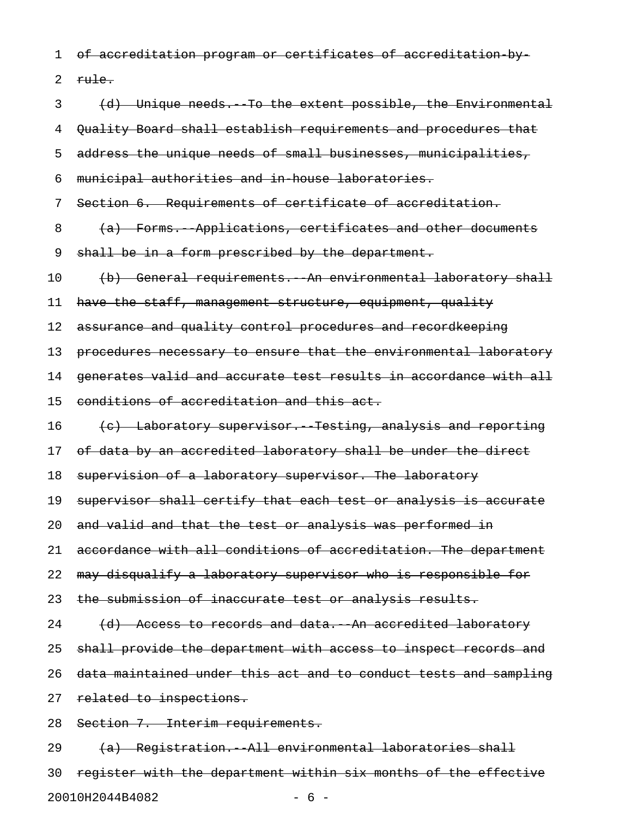1 of accreditation program or certificates of accreditation by-

 $2 \frac{\text{rule}}{\text{rule}}$ 

3 (d) Unique needs.--To the extent possible, the Environmental 4 Quality Board shall establish requirements and procedures that 5 address the unique needs of small businesses, municipalities, 6 municipal authorities and in-house laboratories. 7 Section 6. Requirements of certificate of accreditation. 8 (a) Forms. Applications, certificates and other documents 9 shall be in a form prescribed by the department. 10 (b) General requirements. An environmental laboratory shall 11 have the staff, management structure, equipment, quality 12 assurance and quality control procedures and recordkeeping 13 procedures necessary to ensure that the environmental laboratory 14 generates valid and accurate test results in accordance with all 15 conditions of accreditation and this act. 16 (c) Laboratory supervisor. Testing, analysis and reporting 17 of data by an accredited laboratory shall be under the direct 18 supervision of a laboratory supervisor. The laboratory 19 supervisor shall certify that each test or analysis is accurate 20 and valid and that the test or analysis was performed in 21 accordance with all conditions of accreditation. The department 22 may disqualify a laboratory supervisor who is responsible for 23 the submission of inaccurate test or analysis results.  $24$   $(d)$  Access to records and data. An accredited laboratory 25 shall provide the department with access to inspect records and 26 data maintained under this act and to conduct tests and sampling 27 related to inspections. 28 Section 7. Interim requirements. 29 (a) Registration. All environmental laboratories shall 30 register with the department within six months of the effective

20010H2044B4082 - 6 -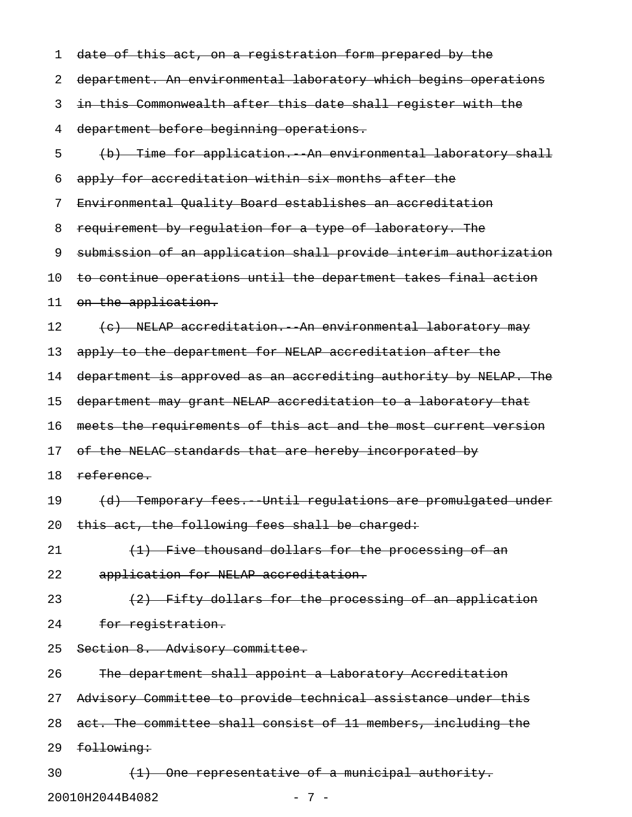| 1  | date of this act, on a registration form prepared by the                   |
|----|----------------------------------------------------------------------------|
| 2  | department. An environmental laboratory which begins operations            |
| 3  | in this Commonwealth after this date shall register with the               |
| 4  | department before beginning operations.                                    |
| 5  | (b) Time for application. An environmental laboratory shall                |
| 6  | apply for accreditation within six months after the                        |
| 7  | Environmental Quality Board establishes an accreditation                   |
| 8  | requirement by regulation for a type of laboratory. The                    |
| 9  | submission of an application shall provide interim authorization           |
| 10 | to continue operations until the department takes final action             |
| 11 | on the application.                                                        |
| 12 | (c) NELAP accreditation. An environmental laboratory may                   |
| 13 | apply to the department for NELAP accreditation after the                  |
| 14 | department is approved as an accrediting authority by NELAP. The           |
| 15 | department may grant NELAP accreditation to a laboratory that              |
| 16 | meets the requirements of this act and the most current version            |
| 17 | of the NELAC standards that are hereby incorporated by                     |
| 18 | reference.                                                                 |
| 19 | (d) Temporary fees. Until regulations are promulgated under                |
| 20 | this act, the following fees shall be charged:                             |
| 21 | (1) Five thousand dollars for the processing of an                         |
| 22 | application for NELAP accreditation.                                       |
| 23 | (2) Fifty dollars for the processing of an application                     |
| 24 | for registration.                                                          |
| 25 | Section 8. Advisory committee.                                             |
| 26 | The department shall appoint a Laboratory Accreditation                    |
| 27 | Advisory Committee to provide technical assistance under this              |
| 28 | act. The committee shall consist of 11 members, including the              |
| 29 | following:                                                                 |
| 30 | One representative of a municipal authority.<br>$\left(\frac{1}{2}\right)$ |

20010H2044B4082 - 7 -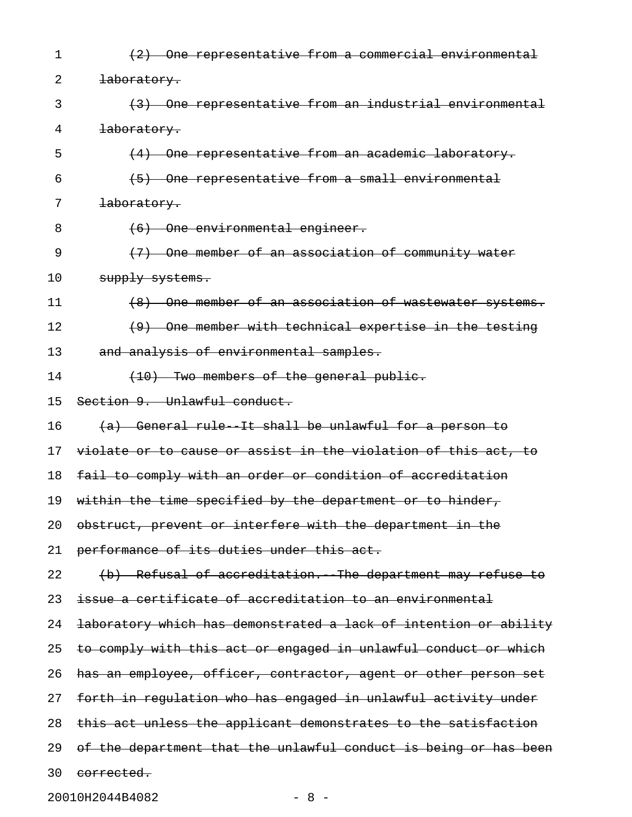| 1  | One representative from a commercial environmental               |
|----|------------------------------------------------------------------|
| 2  | <del>laboratory.</del>                                           |
| 3  | (3) One representative from an industrial environmental          |
| 4  | laboratory.                                                      |
| 5  | One representative from an academic laboratory.                  |
| 6  | One representative from a small environmental                    |
| 7  | laboratory.                                                      |
| 8  | (6) One environmental engineer.                                  |
| 9  | One member of an association of community water                  |
| 10 | supply systems.                                                  |
| 11 | One member of an association of wastewater systems.              |
| 12 | One member with technical expertise in the testing<br>(9)        |
| 13 | and analysis of environmental samples.                           |
| 14 | (10) Two members of the general public.                          |
| 15 | Section 9. Unlawful conduct.                                     |
| 16 | (a) General rule It shall be unlawful for a person to            |
| 17 | violate or to cause or assist in the violation of this act, to   |
| 18 | fail to comply with an order or condition of accreditation       |
| 19 | within the time specified by the department or to hinder,        |
| 20 | obstruct, prevent or interfere with the department in the        |
| 21 | performance of its duties under this act.                        |
| 22 | (b) Refusal of accreditation. The department may refuse to       |
| 23 | issue a certificate of accreditation to an environmental         |
| 24 | laboratory which has demonstrated a lack of intention or ability |
| 25 | to comply with this act or engaged in unlawful conduct or which  |
| 26 | has an employee, officer, contractor, agent or other person set  |
| 27 | forth in regulation who has engaged in unlawful activity under   |
| 28 | this act unless the applicant demonstrates to the satisfaction   |
| 29 | of the department that the unlawful conduct is being or has been |
| 30 | corrected.                                                       |

20010H2044B4082 - 8 -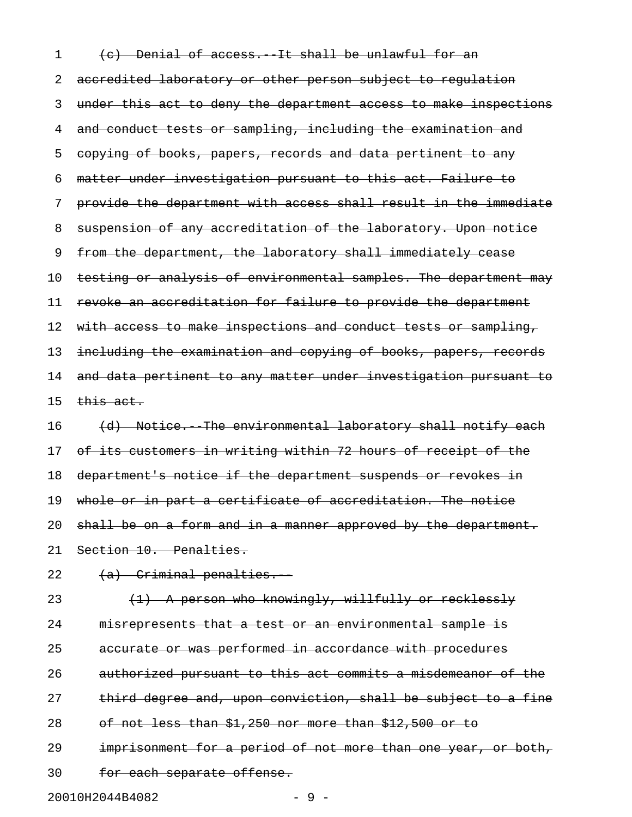1 (c) Denial of access. It shall be unlawful for an 2 accredited laboratory or other person subject to regulation 3 under this act to deny the department access to make inspections 4 and conduct tests or sampling, including the examination and 5 copying of books, papers, records and data pertinent to any 6 matter under investigation pursuant to this act. Failure to 7 provide the department with access shall result in the immediate 8 suspension of any accreditation of the laboratory. Upon notice 9 from the department, the laboratory shall immediately cease 10 testing or analysis of environmental samples. The department may 11 revoke an accreditation for failure to provide the department 12 with access to make inspections and conduct tests or sampling, 13 including the examination and copying of books, papers, records 14 and data pertinent to any matter under investigation pursuant to  $15$  this act. 16 (d) Notice. The environmental laboratory shall notify each

17 of its customers in writing within 72 hours of receipt of the 18 department's notice if the department suspends or revokes in 19 whole or in part a certificate of accreditation. The notice 20 shall be on a form and in a manner approved by the department. 21 Section 10. Penalties.

 $22 \left( a \right)$  Criminal penalties.

23 (<del>1) A person who knowingly, willfully or recklessly</del> 24 misrepresents that a test or an environmental sample is 25 accurate or was performed in accordance with procedures 26 authorized pursuant to this act commits a misdemeanor of the 27 third degree and, upon conviction, shall be subject to a fine 28 of not less than \$1,250 nor more than \$12,500 or to 29 imprisonment for a period of not more than one year, or both, 30 for each separate offense.

20010H2044B4082 - 9 -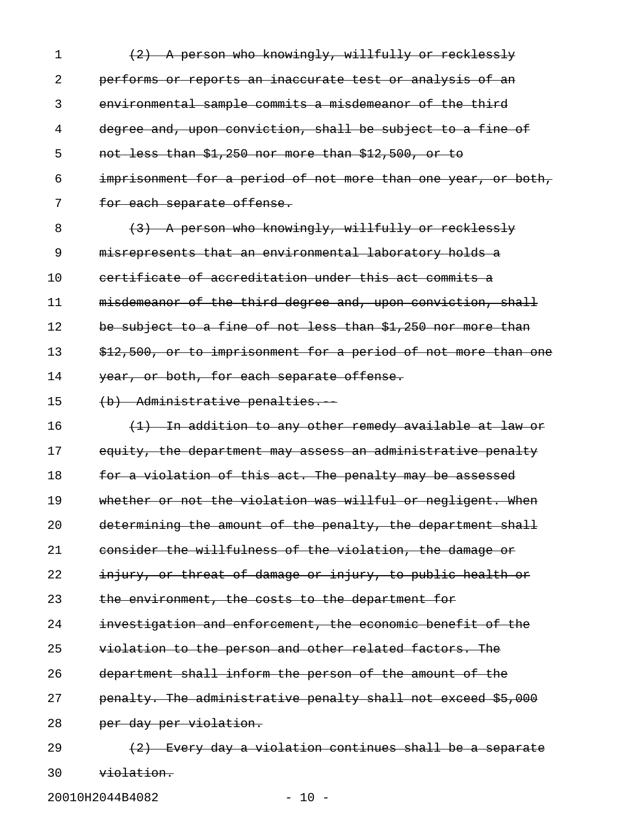|          | (2) A person who knowingly, willfully or recklessly           |
|----------|---------------------------------------------------------------|
|          | performs or reports an inaccurate test or analysis of an      |
|          | environmental sample commits a misdemeanor of the third       |
| 4        | degree and, upon conviction, shall be subject to a fine of    |
| 5        | not less than \$1,250 nor more than \$12,500, or to           |
| 6        | imprisonment for a period of not more than one year, or both, |
|          | for each separate offense.                                    |
| $\Omega$ | (2) A person who knowingly willfully ar reaklessly            |

8 (3) A person who knowingly, willfully or recklessly 9 misrepresents that an environmental laboratory holds a 10 certificate of accreditation under this act commits a 11 misdemeanor of the third degree and, upon conviction, shall 12 be subject to a fine of not less than \$1,250 nor more than 13 \$12,500, or to imprisonment for a period of not more than one 14 year, or both, for each separate offense.

15 (b) Administrative penalties.

16 (1) In addition to any other remedy available at law or 17 equity, the department may assess an administrative penalty 18 for a violation of this act. The penalty may be assessed 19 whether or not the violation was willful or negligent. When 20 determining the amount of the penalty, the department shall 21 consider the willfulness of the violation, the damage or 22 injury, or threat of damage or injury, to public health or 23 the environment, the costs to the department for 24 investigation and enforcement, the economic benefit of the 25 violation to the person and other related factors. The 26 department shall inform the person of the amount of the 27 penalty. The administrative penalty shall not exceed \$5,000 28 per day per violation. 29  $(2)$  Every day a violation continues shall be a separate 30 violation.

20010H2044B4082 - 10 -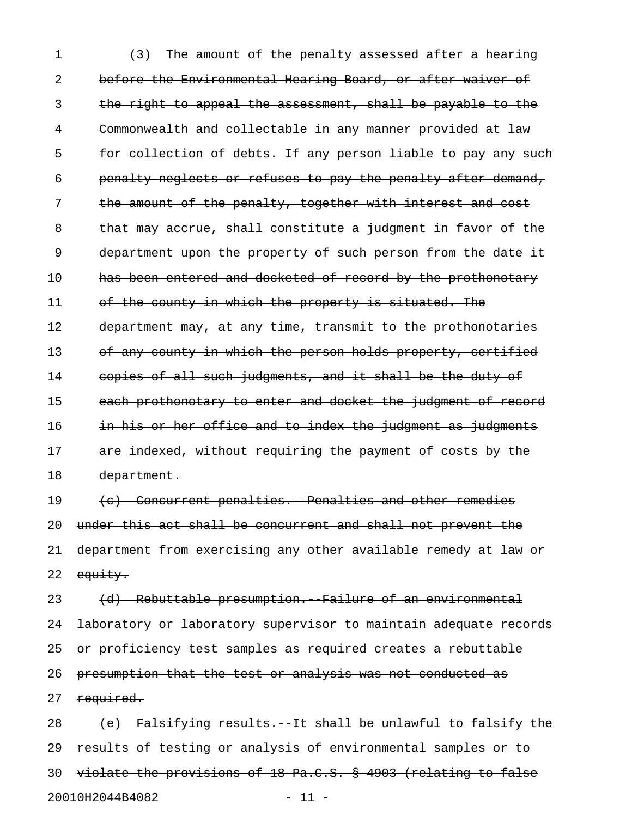1 (3) The amount of the penalty assessed after a hearing 2 before the Environmental Hearing Board, or after waiver of 3 the right to appeal the assessment, shall be payable to the 4 Commonwealth and collectable in any manner provided at law 5 for collection of debts. If any person liable to pay any such 6 penalty neglects or refuses to pay the penalty after demand, 7 the amount of the penalty, together with interest and cost 8 that may accrue, shall constitute a judgment in favor of the 9 department upon the property of such person from the date it 10 has been entered and docketed of record by the prothonotary 11 of the county in which the property is situated. The 12 department may, at any time, transmit to the prothonotaries 13 of any county in which the person holds property, certified 14 copies of all such judgments, and it shall be the duty of 15 each prothonotary to enter and docket the judgment of record 16 in his or her office and to index the judgment as judgments 17 are indexed, without requiring the payment of costs by the 18 department. 19 (c) Concurrent penalties. Penalties and other remedies 20 under this act shall be concurrent and shall not prevent the 21 department from exercising any other available remedy at law or 22 equity. 23 (d) Rebuttable presumption. Failure of an environmental 24 laboratory or laboratory supervisor to maintain adequate records 25 or proficiency test samples as required creates a rebuttable 26 presumption that the test or analysis was not conducted as 27 required. 28 (e) Falsifying results. It shall be unlawful to falsify the 29 results of testing or analysis of environmental samples or to 30 violate the provisions of 18 Pa.C.S. § 4903 (relating to false

20010H2044B4082 - 11 -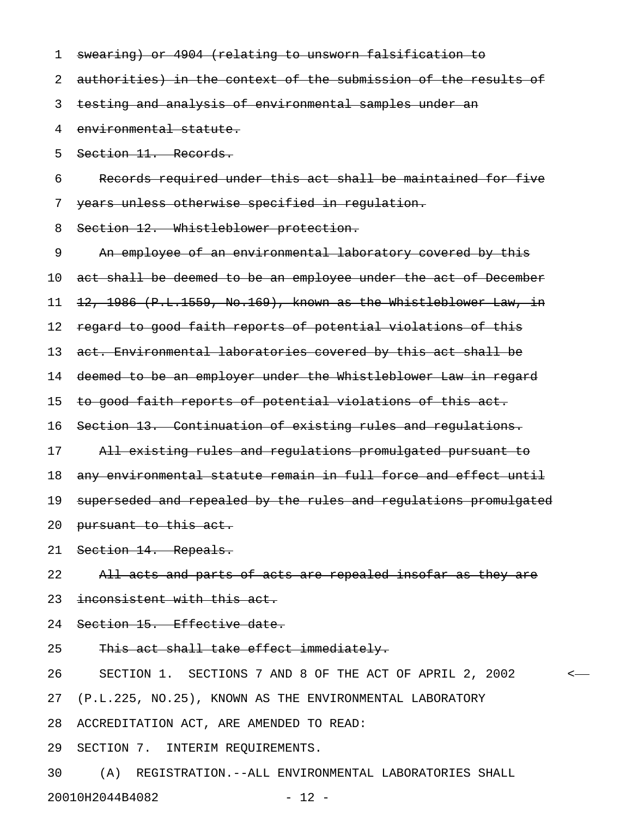| 1  | swearing) or 4904 (relating to unsworn falsification to          |
|----|------------------------------------------------------------------|
| 2  | authorities) in the context of the submission of the results of  |
| 3  | testing and analysis of environmental samples under an           |
| 4  | environmental statute.                                           |
| 5  | Section 11. Records.                                             |
| 6  | Records required under this act shall be maintained for five     |
| 7  | years unless otherwise specified in regulation.                  |
| 8  | Section 12. Whistleblower protection.                            |
| 9  | An employee of an environmental laboratory covered by this       |
| 10 | act shall be deemed to be an employee under the act of December  |
| 11 | 12, 1986 (P.L.1559, No.169), known as the Whistleblower Law, in  |
| 12 | regard to good faith reports of potential violations of this     |
| 13 | act. Environmental laboratories covered by this act shall be     |
| 14 | deemed to be an employer under the Whistleblower Law in regard   |
| 15 | to good faith reports of potential violations of this act.       |
| 16 | Section 13. Continuation of existing rules and regulations.      |
| 17 | All existing rules and regulations promulgated pursuant to       |
| 18 | any environmental statute remain in full force and effect until  |
| 19 | superseded and repealed by the rules and regulations promulgated |
|    | 20 pursuant to this act.                                         |
|    | 21 Section 14. Repeals.                                          |
| 22 | All acts and parts of acts are repealed insofar as they are      |
| 23 | inconsistent with this act.                                      |
|    | 24 Section 15. Effective date.                                   |
| 25 | This act shall take effect immediately.                          |
| 26 | SECTION 1. SECTIONS 7 AND 8 OF THE ACT OF APRIL 2, 2002          |
|    | 27 (P.L.225, NO.25), KNOWN AS THE ENVIRONMENTAL LABORATORY       |
| 28 | ACCREDITATION ACT, ARE AMENDED TO READ:                          |
|    |                                                                  |

29 SECTION 7. INTERIM REQUIREMENTS.

30 (A) REGISTRATION.--ALL ENVIRONMENTAL LABORATORIES SHALL 20010H2044B4082 - 12 -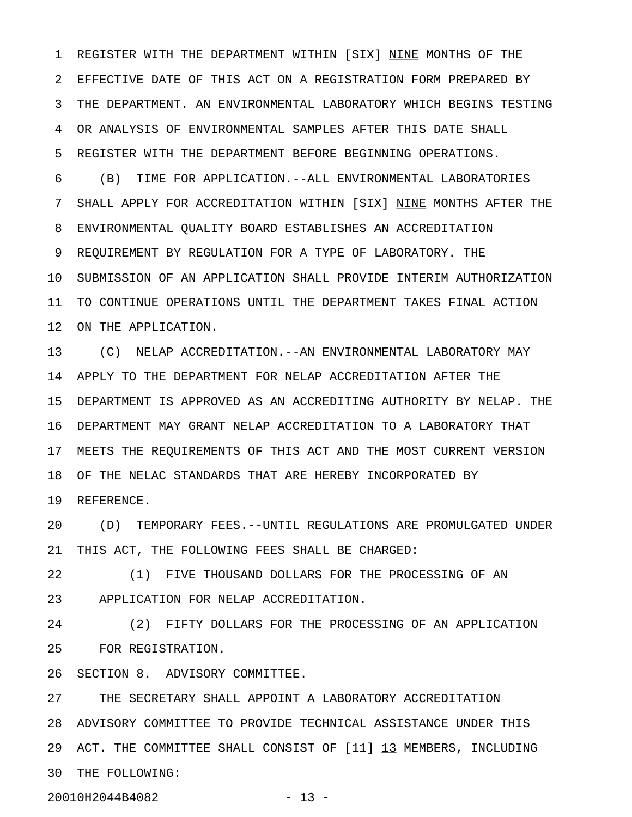1 REGISTER WITH THE DEPARTMENT WITHIN [SIX] NINE MONTHS OF THE 2 EFFECTIVE DATE OF THIS ACT ON A REGISTRATION FORM PREPARED BY 3 THE DEPARTMENT. AN ENVIRONMENTAL LABORATORY WHICH BEGINS TESTING 4 OR ANALYSIS OF ENVIRONMENTAL SAMPLES AFTER THIS DATE SHALL 5 REGISTER WITH THE DEPARTMENT BEFORE BEGINNING OPERATIONS.

6 (B) TIME FOR APPLICATION.--ALL ENVIRONMENTAL LABORATORIES 7 SHALL APPLY FOR ACCREDITATION WITHIN [SIX] NINE MONTHS AFTER THE 8 ENVIRONMENTAL QUALITY BOARD ESTABLISHES AN ACCREDITATION 9 REQUIREMENT BY REGULATION FOR A TYPE OF LABORATORY. THE 10 SUBMISSION OF AN APPLICATION SHALL PROVIDE INTERIM AUTHORIZATION 11 TO CONTINUE OPERATIONS UNTIL THE DEPARTMENT TAKES FINAL ACTION 12 ON THE APPLICATION.

13 (C) NELAP ACCREDITATION.--AN ENVIRONMENTAL LABORATORY MAY 14 APPLY TO THE DEPARTMENT FOR NELAP ACCREDITATION AFTER THE 15 DEPARTMENT IS APPROVED AS AN ACCREDITING AUTHORITY BY NELAP. THE 16 DEPARTMENT MAY GRANT NELAP ACCREDITATION TO A LABORATORY THAT 17 MEETS THE REQUIREMENTS OF THIS ACT AND THE MOST CURRENT VERSION 18 OF THE NELAC STANDARDS THAT ARE HEREBY INCORPORATED BY 19 REFERENCE.

20 (D) TEMPORARY FEES.--UNTIL REGULATIONS ARE PROMULGATED UNDER 21 THIS ACT, THE FOLLOWING FEES SHALL BE CHARGED:

22 (1) FIVE THOUSAND DOLLARS FOR THE PROCESSING OF AN 23 APPLICATION FOR NELAP ACCREDITATION.

24 (2) FIFTY DOLLARS FOR THE PROCESSING OF AN APPLICATION 25 FOR REGISTRATION.

26 SECTION 8. ADVISORY COMMITTEE.

27 THE SECRETARY SHALL APPOINT A LABORATORY ACCREDITATION 28 ADVISORY COMMITTEE TO PROVIDE TECHNICAL ASSISTANCE UNDER THIS 29 ACT. THE COMMITTEE SHALL CONSIST OF [11] 13 MEMBERS, INCLUDING 30 THE FOLLOWING:

20010H2044B4082 - 13 -